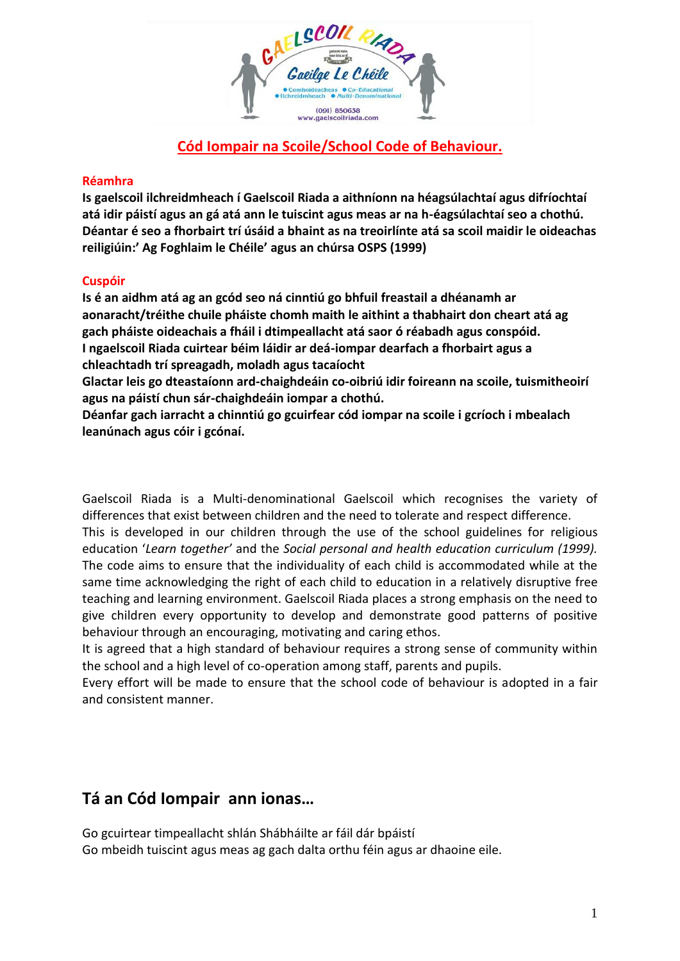

# **Cód Iompair na Scoile/School Code of Behaviour.**

### **Réamhra**

**Is gaelscoil ilchreidmheach í Gaelscoil Riada a aithníonn na héagsúlachtaí agus difríochtaí atá idir páistí agus an gá atá ann le tuiscint agus meas ar na h-éagsúlachtaí seo a chothú. Déantar é seo a fhorbairt trí úsáid a bhaint as na treoirlínte atá sa scoil maidir le oideachas reiligiúin:' Ag Foghlaim le Chéile' agus an chúrsa OSPS (1999)**

#### **Cuspóir**

**Is é an aidhm atá ag an gcód seo ná cinntiú go bhfuil freastail a dhéanamh ar aonaracht/tréithe chuile pháiste chomh maith le aithint a thabhairt don cheart atá ag gach pháiste oideachais a fháil i dtimpeallacht atá saor ó réabadh agus conspóid. I ngaelscoil Riada cuirtear béim láidir ar deá-iompar dearfach a fhorbairt agus a chleachtadh trí spreagadh, moladh agus tacaíocht** 

**Glactar leis go dteastaíonn ard-chaighdeáin co-oibriú idir foireann na scoile, tuismitheoirí agus na páistí chun sár-chaighdeáin iompar a chothú.**

**Déanfar gach iarracht a chinntiú go gcuirfear cód iompar na scoile i gcríoch i mbealach leanúnach agus cóir i gcónaí.**

Gaelscoil Riada is a Multi-denominational Gaelscoil which recognises the variety of differences that exist between children and the need to tolerate and respect difference.

This is developed in our children through the use of the school guidelines for religious education '*Learn together'* and the *Social personal and health education curriculum (1999).*  The code aims to ensure that the individuality of each child is accommodated while at the same time acknowledging the right of each child to education in a relatively disruptive free teaching and learning environment. Gaelscoil Riada places a strong emphasis on the need to give children every opportunity to develop and demonstrate good patterns of positive behaviour through an encouraging, motivating and caring ethos.

It is agreed that a high standard of behaviour requires a strong sense of community within the school and a high level of co-operation among staff, parents and pupils.

Every effort will be made to ensure that the school code of behaviour is adopted in a fair and consistent manner.

# **Tá an Cód Iompair ann ionas…**

Go gcuirtear timpeallacht shlán Shábháilte ar fáil dár bpáistí Go mbeidh tuiscint agus meas ag gach dalta orthu féin agus ar dhaoine eile.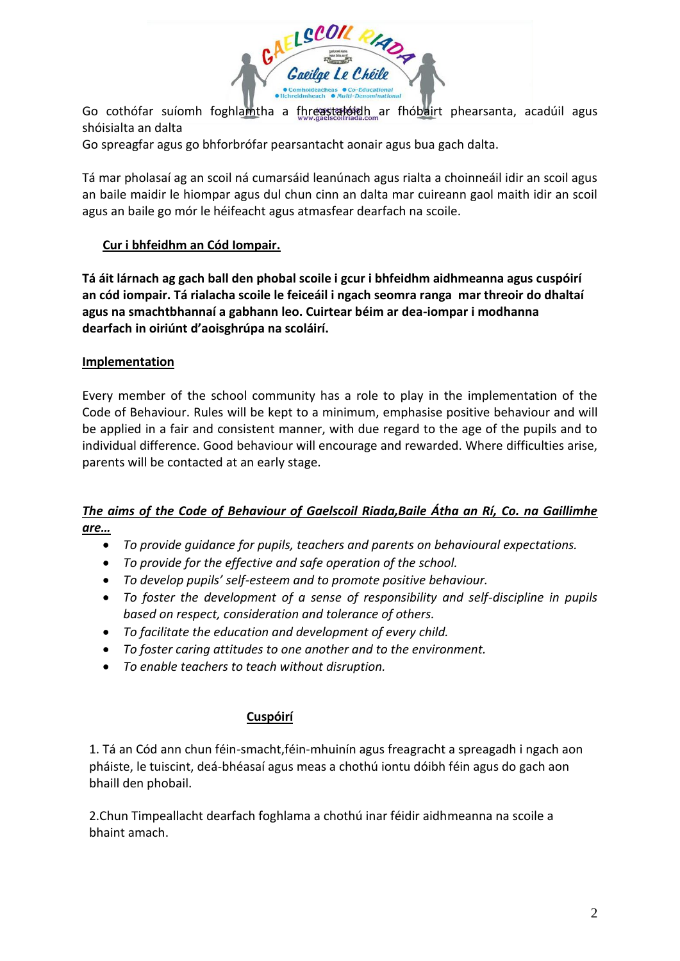

Go cothófar suíomh foghlamtha a fhreastalóidh ar fhóbairt phearsanta, acadúil agus shóisialta an dalta

Go spreagfar agus go bhforbrófar pearsantacht aonair agus bua gach dalta.

Tá mar pholasaí ag an scoil ná cumarsáid leanúnach agus rialta a choinneáil idir an scoil agus an baile maidir le hiompar agus dul chun cinn an dalta mar cuireann gaol maith idir an scoil agus an baile go mór le héifeacht agus atmasfear dearfach na scoile.

# **Cur i bhfeidhm an Cód Iompair.**

**Tá áit lárnach ag gach ball den phobal scoile i gcur i bhfeidhm aidhmeanna agus cuspóirí an cód iompair. Tá rialacha scoile le feiceáil i ngach seomra ranga mar threoir do dhaltaí agus na smachtbhannaí a gabhann leo. Cuirtear béim ar dea-iompar i modhanna dearfach in oiriúnt d'aoisghrúpa na scoláirí.** 

### **Implementation**

Every member of the school community has a role to play in the implementation of the Code of Behaviour. Rules will be kept to a minimum, emphasise positive behaviour and will be applied in a fair and consistent manner, with due regard to the age of the pupils and to individual difference. Good behaviour will encourage and rewarded. Where difficulties arise, parents will be contacted at an early stage.

### *The aims of the Code of Behaviour of Gaelscoil Riada,Baile Átha an Rí, Co. na Gaillimhe are…*

- *To provide guidance for pupils, teachers and parents on behavioural expectations.*
- *To provide for the effective and safe operation of the school.*
- *To develop pupils' self-esteem and to promote positive behaviour.*
- *To foster the development of a sense of responsibility and self-discipline in pupils based on respect, consideration and tolerance of others.*
- *To facilitate the education and development of every child.*
- *To foster caring attitudes to one another and to the environment.*
- *To enable teachers to teach without disruption.*

# **Cuspóirí**

1. Tá an Cód ann chun féin-smacht,féin-mhuinín agus freagracht a spreagadh i ngach aon pháiste, le tuiscint, deá-bhéasaí agus meas a chothú iontu dóibh féin agus do gach aon bhaill den phobail.

2.Chun Timpeallacht dearfach foghlama a chothú inar féidir aidhmeanna na scoile a bhaint amach.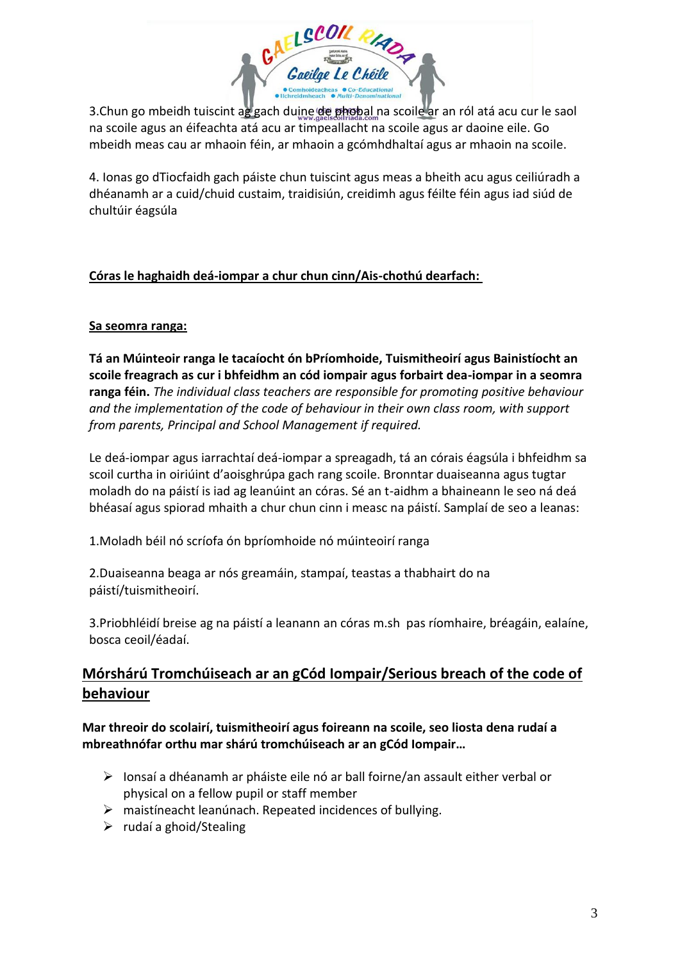

3. Chun go mbeidh tuiscint ag gach duine de phobal na scoile ar an ról atá acu cur le saol na scoile agus an éifeachta atá acu ar timpeallacht na scoile agus ar daoine eile. Go mbeidh meas cau ar mhaoin féin, ar mhaoin a gcómhdhaltaí agus ar mhaoin na scoile.

4. Ionas go dTiocfaidh gach páiste chun tuiscint agus meas a bheith acu agus ceiliúradh a dhéanamh ar a cuid/chuid custaim, traidisiún, creidimh agus féilte féin agus iad siúd de chultúir éagsúla

### **Córas le haghaidh deá-iompar a chur chun cinn/Ais-chothú dearfach:**

### **Sa seomra ranga:**

**Tá an Múinteoir ranga le tacaíocht ón bPríomhoide, Tuismitheoirí agus Bainistíocht an scoile freagrach as cur i bhfeidhm an cód iompair agus forbairt dea-iompar in a seomra ranga féin.** *The individual class teachers are responsible for promoting positive behaviour and the implementation of the code of behaviour in their own class room, with support from parents, Principal and School Management if required.* 

Le deá-iompar agus iarrachtaí deá-iompar a spreagadh, tá an córais éagsúla i bhfeidhm sa scoil curtha in oiriúint d'aoisghrúpa gach rang scoile. Bronntar duaiseanna agus tugtar moladh do na páistí is iad ag leanúint an córas. Sé an t-aidhm a bhaineann le seo ná deá bhéasaí agus spiorad mhaith a chur chun cinn i measc na páistí. Samplaí de seo a leanas:

1.Moladh béil nó scríofa ón bpríomhoide nó múinteoirí ranga

2.Duaiseanna beaga ar nós greamáin, stampaí, teastas a thabhairt do na páistí/tuismitheoirí.

3.Priobhléidí breise ag na páistí a leanann an córas m.sh pas ríomhaire, bréagáin, ealaíne, bosca ceoil/éadaí.

# **Mórshárú Tromchúiseach ar an gCód Iompair/Serious breach of the code of behaviour**

**Mar threoir do scolairí, tuismitheoirí agus foireann na scoile, seo liosta dena rudaí a mbreathnófar orthu mar shárú tromchúiseach ar an gCód Iompair…** 

- $\triangleright$  Ionsaí a dhéanamh ar pháiste eile nó ar ball foirne/an assault either verbal or physical on a fellow pupil or staff member
- $\triangleright$  maistineacht leanúnach. Repeated incidences of bullying.
- $\triangleright$  rudaí a ghoid/Stealing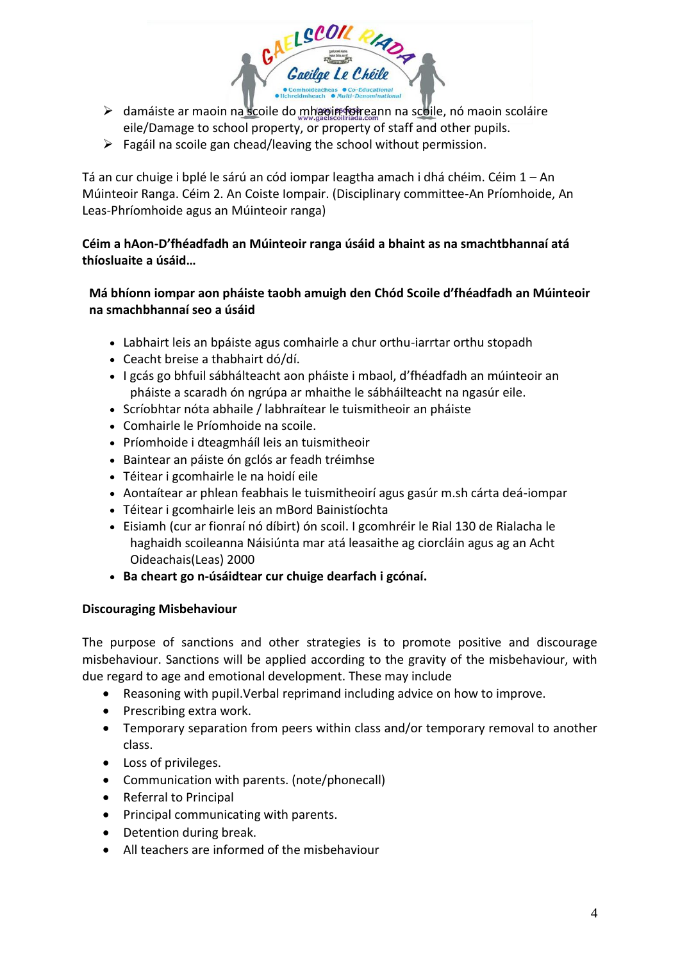▶ damáiste ar maoin na scoile do mhaoin foireann na scoile, nó maoin scoláire eile/Damage to school property, or property of staff and other pupils.

ELSCOR PHADA

 $\triangleright$  Fagáil na scoile gan chead/leaving the school without permission.

Tá an cur chuige i bplé le sárú an cód iompar leagtha amach i dhá chéim. Céim 1 – An Múinteoir Ranga. Céim 2. An Coiste Iompair. (Disciplinary committee-An Príomhoide, An Leas-Phríomhoide agus an Múinteoir ranga)

### **Céim a hAon-D'fhéadfadh an Múinteoir ranga úsáid a bhaint as na smachtbhannaí atá thíosluaite a úsáid…**

### **Má bhíonn iompar aon pháiste taobh amuigh den Chód Scoile d'fhéadfadh an Múinteoir na smachbhannaí seo a úsáid**

- Labhairt leis an bpáiste agus comhairle a chur orthu-iarrtar orthu stopadh
- Ceacht breise a thabhairt dó/dí.
- I gcás go bhfuil sábhálteacht aon pháiste i mbaol, d'fhéadfadh an múinteoir an pháiste a scaradh ón ngrúpa ar mhaithe le sábháilteacht na ngasúr eile.
- Scríobhtar nóta abhaile / labhraítear le tuismitheoir an pháiste
- Comhairle le Príomhoide na scoile.
- Príomhoide i dteagmháíl leis an tuismitheoir
- Baintear an páiste ón gclós ar feadh tréimhse
- Téitear i gcomhairle le na hoidí eile
- Aontaítear ar phlean feabhais le tuismitheoirí agus gasúr m.sh cárta deá-iompar
- Téitear i gcomhairle leis an mBord Bainistíochta
- Eisiamh (cur ar fionraí nó díbirt) ón scoil. I gcomhréir le Rial 130 de Rialacha le haghaidh scoileanna Náisiúnta mar atá leasaithe ag ciorcláin agus ag an Acht Oideachais(Leas) 2000
- **Ba cheart go n-úsáidtear cur chuige dearfach i gcónaí.**

#### **Discouraging Misbehaviour**

The purpose of sanctions and other strategies is to promote positive and discourage misbehaviour. Sanctions will be applied according to the gravity of the misbehaviour, with due regard to age and emotional development. These may include

- Reasoning with pupil.Verbal reprimand including advice on how to improve.
- Prescribing extra work.
- Temporary separation from peers within class and/or temporary removal to another class.
- Loss of privileges.
- Communication with parents. (note/phonecall)
- Referral to Principal
- Principal communicating with parents.
- Detention during break.
- All teachers are informed of the misbehaviour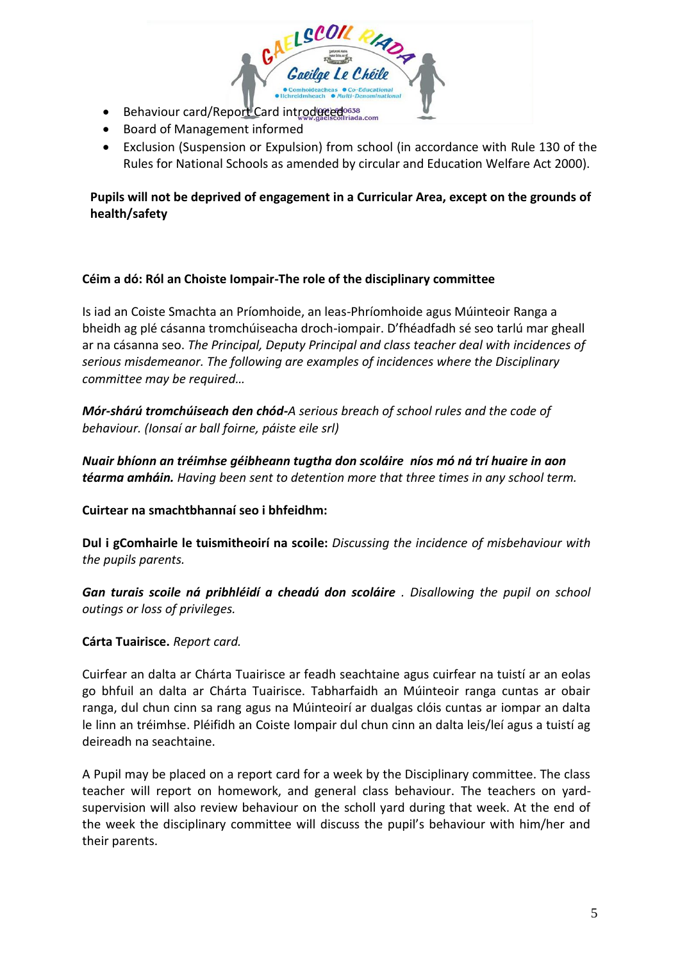- Behaviour card/Report Card introduced bosses ada.com
- Board of Management informed
- Exclusion (Suspension or Expulsion) from school (in accordance with Rule 130 of the Rules for National Schools as amended by circular and Education Welfare Act 2000).

# **Pupils will not be deprived of engagement in a Curricular Area, except on the grounds of health/safety**

### **Céim a dó: Ról an Choiste Iompair-The role of the disciplinary committee**

Is iad an Coiste Smachta an Príomhoide, an leas-Phríomhoide agus Múinteoir Ranga a bheidh ag plé cásanna tromchúiseacha droch-iompair. D'fhéadfadh sé seo tarlú mar gheall ar na cásanna seo. *The Principal, Deputy Principal and class teacher deal with incidences of serious misdemeanor. The following are examples of incidences where the Disciplinary committee may be required…*

*Mór-shárú tromchúiseach den chód-A serious breach of school rules and the code of behaviour. (Ionsaí ar ball foirne, páiste eile srl)*

*Nuair bhíonn an tréimhse géibheann tugtha don scoláire níos mó ná trí huaire in aon téarma amháin. Having been sent to detention more that three times in any school term.* 

### **Cuirtear na smachtbhannaí seo i bhfeidhm:**

**Dul i gComhairle le tuismitheoirí na scoile:** *Discussing the incidence of misbehaviour with the pupils parents.* 

*Gan turais scoile ná pribhléidí a cheadú don scoláire . Disallowing the pupil on school outings or loss of privileges.*

### **Cárta Tuairisce.** *Report card.*

Cuirfear an dalta ar Chárta Tuairisce ar feadh seachtaine agus cuirfear na tuistí ar an eolas go bhfuil an dalta ar Chárta Tuairisce. Tabharfaidh an Múinteoir ranga cuntas ar obair ranga, dul chun cinn sa rang agus na Múinteoirí ar dualgas clóis cuntas ar iompar an dalta le linn an tréimhse. Pléifidh an Coiste Iompair dul chun cinn an dalta leis/leí agus a tuistí ag deireadh na seachtaine.

A Pupil may be placed on a report card for a week by the Disciplinary committee. The class teacher will report on homework, and general class behaviour. The teachers on yardsupervision will also review behaviour on the scholl yard during that week. At the end of the week the disciplinary committee will discuss the pupil's behaviour with him/her and their parents.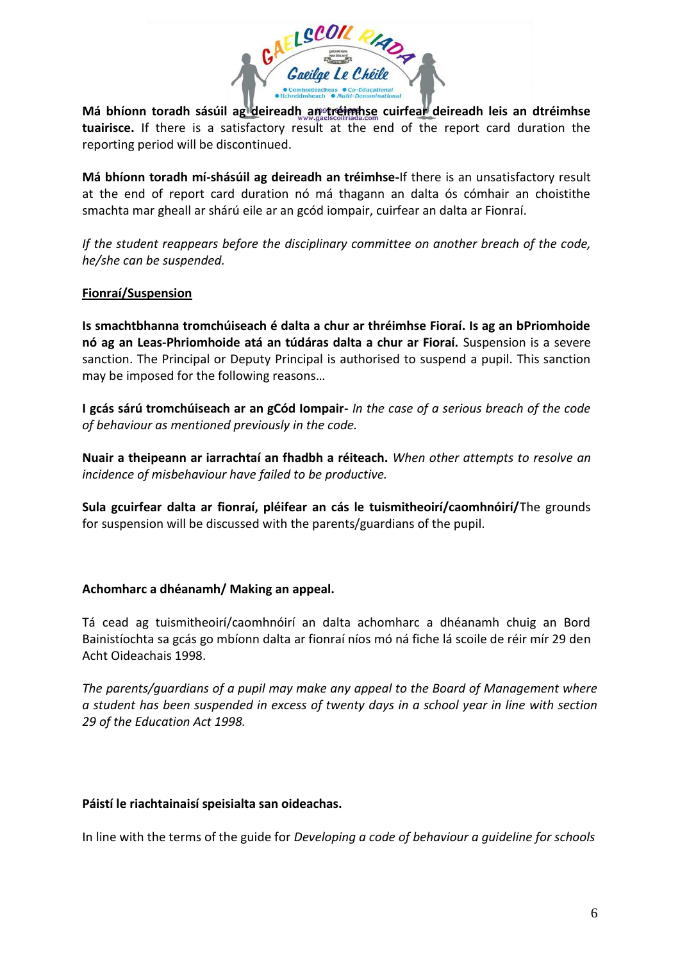

Má bhíonn toradh sásúil ag deireadh an tréimhse cuirfear deireadh leis an dtréimhse **tuairisce.** If there is a satisfactory result at the end of the report card duration the reporting period will be discontinued.

**Má bhíonn toradh mí-shásúil ag deireadh an tréimhse-**If there is an unsatisfactory result at the end of report card duration nó má thagann an dalta ós cómhair an choistithe smachta mar gheall ar shárú eile ar an gcód iompair, cuirfear an dalta ar Fionraí.

*If the student reappears before the disciplinary committee on another breach of the code, he/she can be suspended.* 

#### **Fionraí/Suspension**

**Is smachtbhanna tromchúiseach é dalta a chur ar thréimhse Fioraí. Is ag an bPriomhoide nó ag an Leas-Phriomhoide atá an túdáras dalta a chur ar Fioraí.** Suspension is a severe sanction. The Principal or Deputy Principal is authorised to suspend a pupil. This sanction may be imposed for the following reasons…

**I gcás sárú tromchúiseach ar an gCód Iompair-** *In the case of a serious breach of the code of behaviour as mentioned previously in the code.* 

**Nuair a theipeann ar iarrachtaí an fhadbh a réiteach.** *When other attempts to resolve an incidence of misbehaviour have failed to be productive.* 

**Sula gcuirfear dalta ar fionraí, pléifear an cás le tuismitheoirí/caomhnóirí/**The grounds for suspension will be discussed with the parents/guardians of the pupil.

### **Achomharc a dhéanamh/ Making an appeal.**

Tá cead ag tuismitheoirí/caomhnóirí an dalta achomharc a dhéanamh chuig an Bord Bainistíochta sa gcás go mbíonn dalta ar fionraí níos mó ná fiche lá scoile de réir mír 29 den Acht Oideachais 1998.

*The parents/guardians of a pupil may make any appeal to the Board of Management where a student has been suspended in excess of twenty days in a school year in line with section 29 of the Education Act 1998.* 

#### **Páistí le riachtainaisí speisialta san oideachas.**

In line with the terms of the guide for *Developing a code of behaviour a guideline for schools*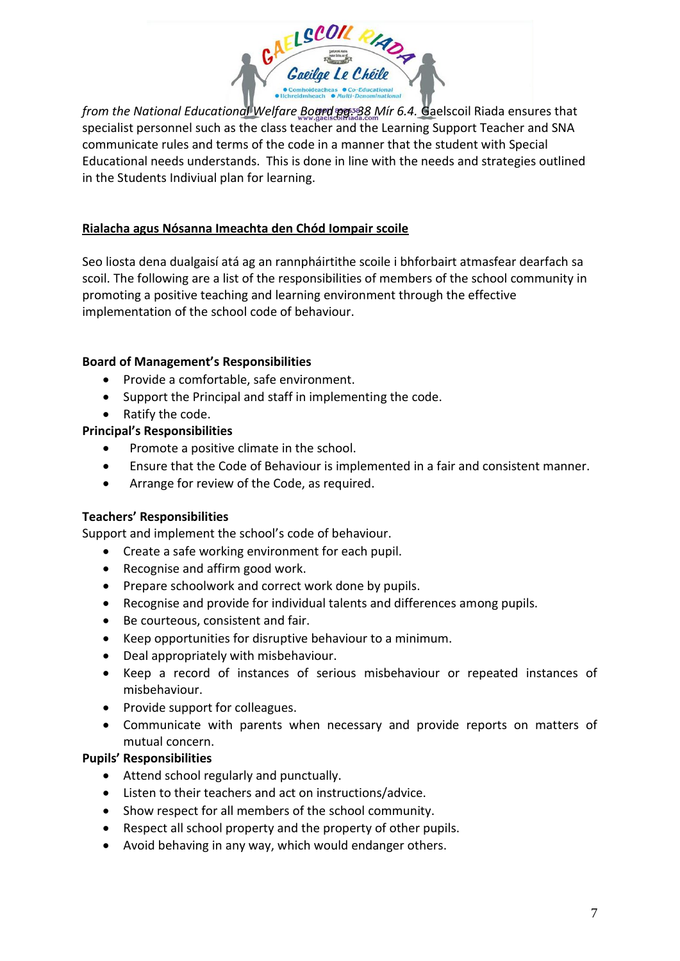

*from the National Educational Welfare Board pg. 38 Mír 6.4.* Gaelscoil Riada ensures that specialist personnel such as the class teacher and the Learning Support Teacher and SNA communicate rules and terms of the code in a manner that the student with Special Educational needs understands. This is done in line with the needs and strategies outlined in the Students Indiviual plan for learning.

## **Rialacha agus Nósanna Imeachta den Chód Iompair scoile**

Seo liosta dena dualgaisí atá ag an rannpháirtithe scoile i bhforbairt atmasfear dearfach sa scoil. The following are a list of the responsibilities of members of the school community in promoting a positive teaching and learning environment through the effective implementation of the school code of behaviour.

### **Board of Management's Responsibilities**

- Provide a comfortable, safe environment.
- Support the Principal and staff in implementing the code.
- Ratify the code.

#### **Principal's Responsibilities**

- Promote a positive climate in the school.
- Ensure that the Code of Behaviour is implemented in a fair and consistent manner.
- Arrange for review of the Code, as required.

#### **Teachers' Responsibilities**

Support and implement the school's code of behaviour.

- Create a safe working environment for each pupil.
- Recognise and affirm good work.
- Prepare schoolwork and correct work done by pupils.
- Recognise and provide for individual talents and differences among pupils.
- Be courteous, consistent and fair.
- Keep opportunities for disruptive behaviour to a minimum.
- Deal appropriately with misbehaviour.
- Keep a record of instances of serious misbehaviour or repeated instances of misbehaviour.
- Provide support for colleagues.
- Communicate with parents when necessary and provide reports on matters of mutual concern.

### **Pupils' Responsibilities**

- Attend school regularly and punctually.
- Listen to their teachers and act on instructions/advice.
- Show respect for all members of the school community.
- Respect all school property and the property of other pupils.
- Avoid behaving in any way, which would endanger others.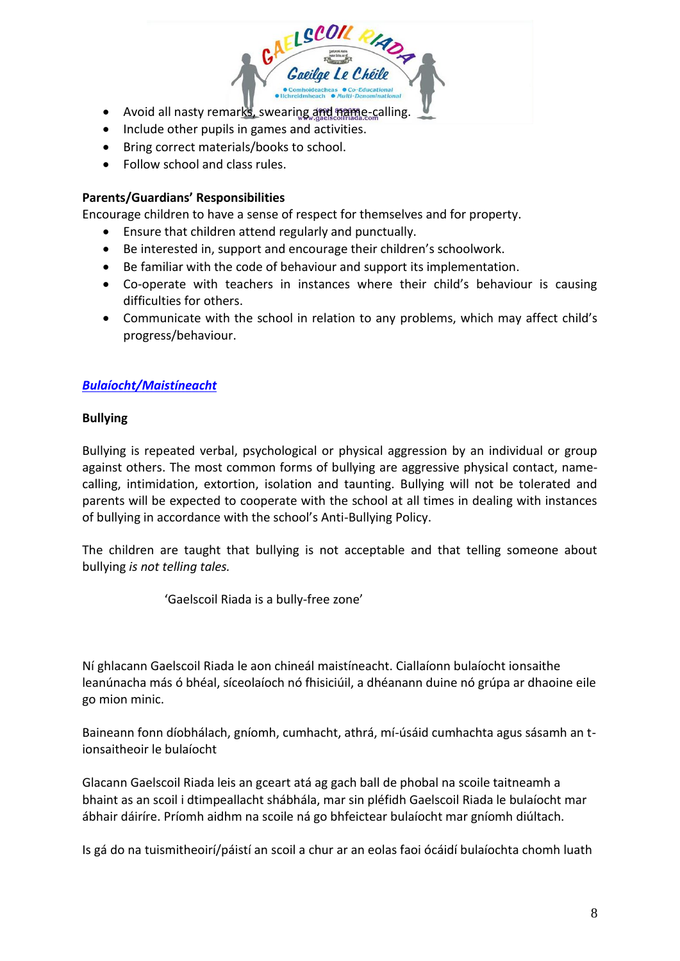

- Include other pupils in games and activities.
- Bring correct materials/books to school.
- Follow school and class rules.

#### **Parents/Guardians' Responsibilities**

Encourage children to have a sense of respect for themselves and for property.

- Ensure that children attend regularly and punctually.
- Be interested in, support and encourage their children's schoolwork.
- Be familiar with the code of behaviour and support its implementation.
- Co-operate with teachers in instances where their child's behaviour is causing difficulties for others.
- Communicate with the school in relation to any problems, which may affect child's progress/behaviour.

### *Bulaíocht/Maistíneacht*

#### **Bullying**

Bullying is repeated verbal, psychological or physical aggression by an individual or group against others. The most common forms of bullying are aggressive physical contact, namecalling, intimidation, extortion, isolation and taunting. Bullying will not be tolerated and parents will be expected to cooperate with the school at all times in dealing with instances of bullying in accordance with the school's Anti-Bullying Policy.

The children are taught that bullying is not acceptable and that telling someone about bullying *is not telling tales.* 

'Gaelscoil Riada is a bully-free zone'

Ní ghlacann Gaelscoil Riada le aon chineál maistíneacht. Ciallaíonn bulaíocht ionsaithe leanúnacha más ó bhéal, síceolaíoch nó fhisiciúil, a dhéanann duine nó grúpa ar dhaoine eile go mion minic.

Baineann fonn díobhálach, gníomh, cumhacht, athrá, mí-úsáid cumhachta agus sásamh an tionsaitheoir le bulaíocht

Glacann Gaelscoil Riada leis an gceart atá ag gach ball de phobal na scoile taitneamh a bhaint as an scoil i dtimpeallacht shábhála, mar sin pléfidh Gaelscoil Riada le bulaíocht mar ábhair dáiríre. Príomh aidhm na scoile ná go bhfeictear bulaíocht mar gníomh diúltach.

Is gá do na tuismitheoirí/páistí an scoil a chur ar an eolas faoi ócáidí bulaíochta chomh luath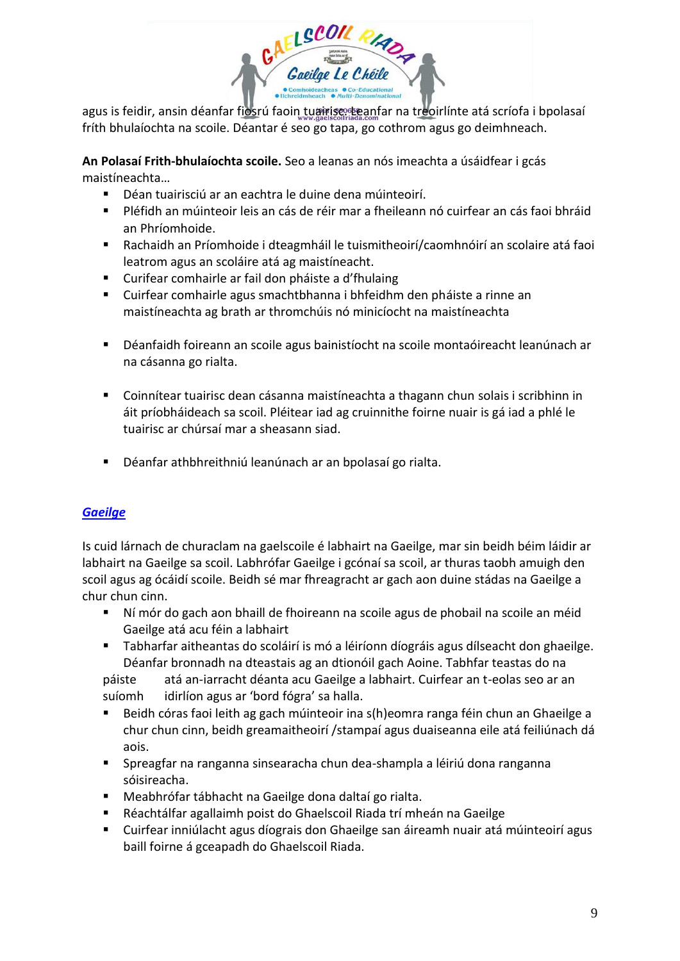

agus is feidir, ansin déanfar fiosrú faoin tuairisc. Eanfar na treoirlínte atá scríofa i bpolasaí fríth bhulaíochta na scoile. Déantar é seo go tapa, go cothrom agus go deimhneach.

**An Polasaí Frith-bhulaíochta scoile.** Seo a leanas an nós imeachta a úsáidfear i gcás maistíneachta…

- Déan tuairisciú ar an eachtra le duine dena múinteoirí.
- Pléfidh an múinteoir leis an cás de réir mar a fheileann nó cuirfear an cás faoi bhráid an Phríomhoide.
- Rachaidh an Príomhoide i dteagmháil le tuismitheoirí/caomhnóirí an scolaire atá faoi leatrom agus an scoláire atá ag maistíneacht.
- Curifear comhairle ar fail don pháiste a d'fhulaing
- Cuirfear comhairle agus smachtbhanna i bhfeidhm den pháiste a rinne an maistíneachta ag brath ar thromchúis nó minicíocht na maistíneachta
- Déanfaidh foireann an scoile agus bainistíocht na scoile montaóireacht leanúnach ar na cásanna go rialta.
- Coinnítear tuairisc dean cásanna maistíneachta a thagann chun solais i scribhinn in áit príobháideach sa scoil. Pléitear iad ag cruinnithe foirne nuair is gá iad a phlé le tuairisc ar chúrsaí mar a sheasann siad.
- Déanfar athbhreithniú leanúnach ar an bpolasaí go rialta.

# *Gaeilge*

Is cuid lárnach de churaclam na gaelscoile é labhairt na Gaeilge, mar sin beidh béim láidir ar labhairt na Gaeilge sa scoil. Labhrófar Gaeilge i gcónaí sa scoil, ar thuras taobh amuigh den scoil agus ag ócáidí scoile. Beidh sé mar fhreagracht ar gach aon duine stádas na Gaeilge a chur chun cinn.

- Ní mór do gach aon bhaill de fhoireann na scoile agus de phobail na scoile an méid Gaeilge atá acu féin a labhairt
- Tabharfar aitheantas do scoláirí is mó a léiríonn díográis agus dílseacht don ghaeilge. Déanfar bronnadh na dteastais ag an dtionóil gach Aoine. Tabhfar teastas do na

páiste atá an-iarracht déanta acu Gaeilge a labhairt. Cuirfear an t-eolas seo ar an suíomh idirlíon agus ar 'bord fógra' sa halla.

- Beidh córas faoi leith ag gach múinteoir ina s(h)eomra ranga féin chun an Ghaeilge a chur chun cinn, beidh greamaitheoirí /stampaí agus duaiseanna eile atá feiliúnach dá aois.
- Spreagfar na ranganna sinsearacha chun dea-shampla a léiriú dona ranganna sóisireacha.
- Meabhrófar tábhacht na Gaeilge dona daltaí go rialta.
- Réachtálfar agallaimh poist do Ghaelscoil Riada trí mheán na Gaeilge
- Cuirfear inniúlacht agus díograis don Ghaeilge san áireamh nuair atá múinteoirí agus baill foirne á gceapadh do Ghaelscoil Riada.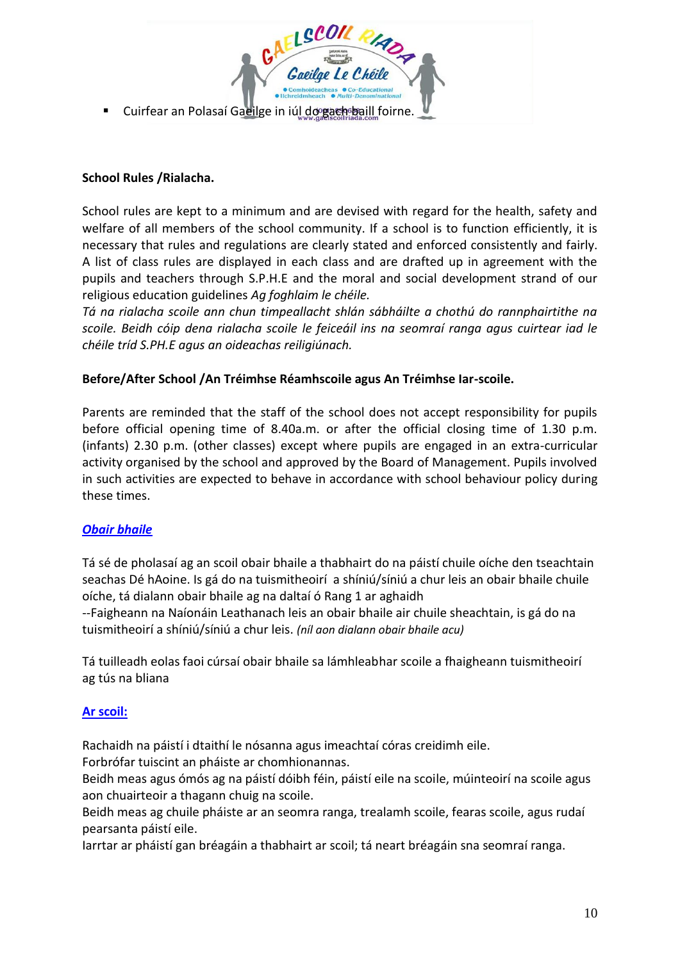

### **School Rules /Rialacha.**

School rules are kept to a minimum and are devised with regard for the health, safety and welfare of all members of the school community. If a school is to function efficiently, it is necessary that rules and regulations are clearly stated and enforced consistently and fairly. A list of class rules are displayed in each class and are drafted up in agreement with the pupils and teachers through S.P.H.E and the moral and social development strand of our religious education guidelines *Ag foghlaim le chéile.* 

*Tá na rialacha scoile ann chun timpeallacht shlán sábháilte a chothú do rannphairtithe na scoile. Beidh cóip dena rialacha scoile le feiceáil ins na seomraí ranga agus cuirtear iad le chéile tríd S.PH.E agus an oideachas reiligiúnach.* 

### **Before/After School /An Tréimhse Réamhscoile agus An Tréimhse Iar-scoile.**

Parents are reminded that the staff of the school does not accept responsibility for pupils before official opening time of 8.40a.m. or after the official closing time of 1.30 p.m. (infants) 2.30 p.m. (other classes) except where pupils are engaged in an extra-curricular activity organised by the school and approved by the Board of Management. Pupils involved in such activities are expected to behave in accordance with school behaviour policy during these times.

### *Obair bhaile*

Tá sé de pholasaí ag an scoil obair bhaile a thabhairt do na páistí chuile oíche den tseachtain seachas Dé hAoine. Is gá do na tuismitheoirí a shíniú/síniú a chur leis an obair bhaile chuile oíche, tá dialann obair bhaile ag na daltaí ó Rang 1 ar aghaidh

--Faigheann na Naíonáin Leathanach leis an obair bhaile air chuile sheachtain, is gá do na tuismitheoirí a shíniú/síniú a chur leis. *(níl aon dialann obair bhaile acu)*

Tá tuilleadh eolas faoi cúrsaí obair bhaile sa lámhleabhar scoile a fhaigheann tuismitheoirí ag tús na bliana

#### **Ar scoil:**

Rachaidh na páistí i dtaithí le nósanna agus imeachtaí córas creidimh eile.

Forbrófar tuiscint an pháiste ar chomhionannas.

Beidh meas agus ómós ag na páistí dóibh féin, páistí eile na scoile, múinteoirí na scoile agus aon chuairteoir a thagann chuig na scoile.

Beidh meas ag chuile pháiste ar an seomra ranga, trealamh scoile, fearas scoile, agus rudaí pearsanta páistí eile.

Iarrtar ar pháistí gan bréagáin a thabhairt ar scoil; tá neart bréagáin sna seomraí ranga.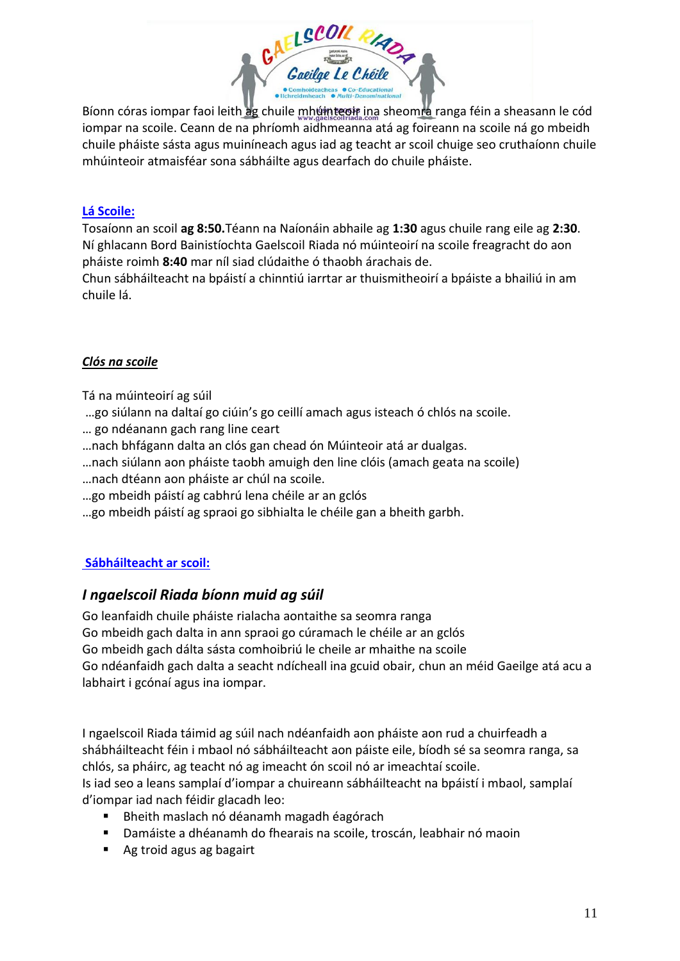

Bíonn córas iompar faoi leith ag chuile mhúinteoir ina sheomra ranga féin a sheasann le cód iompar na scoile. Ceann de na phríomh aidhmeanna atá ag foireann na scoile ná go mbeidh chuile pháiste sásta agus muiníneach agus iad ag teacht ar scoil chuige seo cruthaíonn chuile mhúinteoir atmaisféar sona sábháilte agus dearfach do chuile pháiste.

## **Lá Scoile:**

Tosaíonn an scoil **ag 8:50.**Téann na Naíonáin abhaile ag **1:30** agus chuile rang eile ag **2:30**. Ní ghlacann Bord Bainistíochta Gaelscoil Riada nó múinteoirí na scoile freagracht do aon pháiste roimh **8:40** mar níl siad clúdaithe ó thaobh árachais de.

Chun sábháilteacht na bpáistí a chinntiú iarrtar ar thuismitheoirí a bpáiste a bhailiú in am chuile lá.

### *Clós na scoile*

Tá na múinteoirí ag súil

- …go siúlann na daltaí go ciúin's go ceillí amach agus isteach ó chlós na scoile.
- … go ndéanann gach rang line ceart
- …nach bhfágann dalta an clós gan chead ón Múinteoir atá ar dualgas.
- …nach siúlann aon pháiste taobh amuigh den line clóis (amach geata na scoile)
- …nach dtéann aon pháiste ar chúl na scoile.
- …go mbeidh páistí ag cabhrú lena chéile ar an gclós
- …go mbeidh páistí ag spraoi go sibhialta le chéile gan a bheith garbh.

# **Sábháilteacht ar scoil:**

# *I ngaelscoil Riada bíonn muid ag súil*

Go leanfaidh chuile pháiste rialacha aontaithe sa seomra ranga Go mbeidh gach dalta in ann spraoi go cúramach le chéile ar an gclós Go mbeidh gach dálta sásta comhoibriú le cheile ar mhaithe na scoile Go ndéanfaidh gach dalta a seacht ndícheall ina gcuid obair, chun an méid Gaeilge atá acu a labhairt i gcónaí agus ina iompar.

I ngaelscoil Riada táimid ag súil nach ndéanfaidh aon pháiste aon rud a chuirfeadh a shábháilteacht féin i mbaol nó sábháilteacht aon páiste eile, bíodh sé sa seomra ranga, sa chlós, sa pháirc, ag teacht nó ag imeacht ón scoil nó ar imeachtaí scoile.

Is iad seo a leans samplaí d'iompar a chuireann sábháilteacht na bpáistí i mbaol, samplaí d'iompar iad nach féidir glacadh leo:

- Bheith maslach nó déanamh magadh éagórach
- Damáiste a dhéanamh do fhearais na scoile, troscán, leabhair nó maoin
- Ag troid agus ag bagairt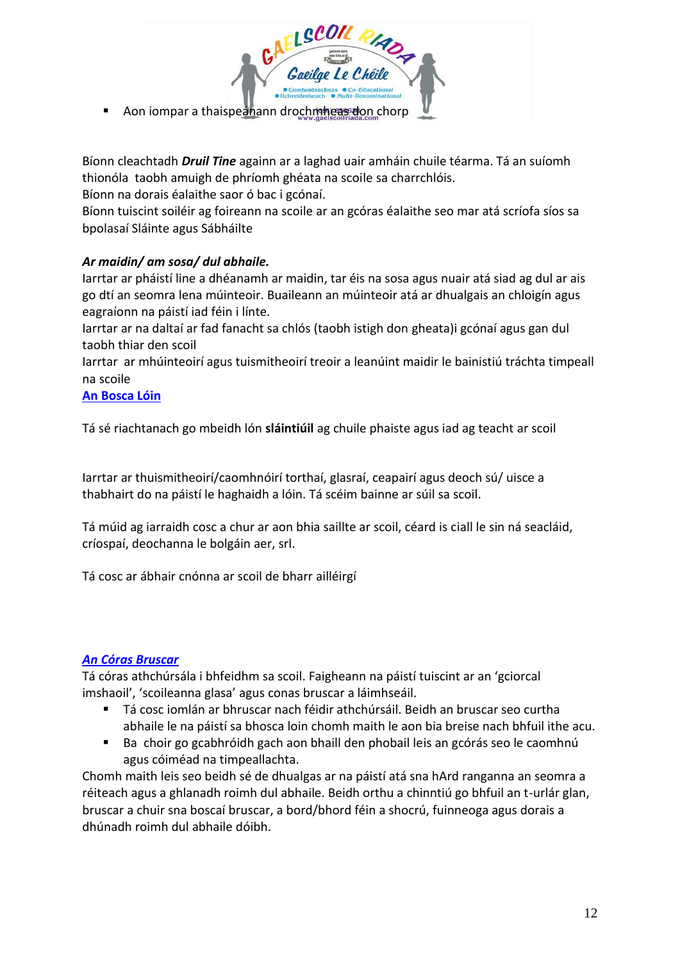

Bíonn cleachtadh *Druil Tine* againn ar a laghad uair amháin chuile téarma. Tá an suíomh thionóla taobh amuigh de phríomh ghéata na scoile sa charrchlóis.

Bíonn na dorais éalaithe saor ó bac i gcónaí.

Bíonn tuiscint soiléir ag foireann na scoile ar an gcóras éalaithe seo mar atá scríofa síos sa bpolasaí Sláinte agus Sábháilte

# *Ar maidin/ am sosa/ dul abhaile.*

Iarrtar ar pháistí line a dhéanamh ar maidin, tar éis na sosa agus nuair atá siad ag dul ar ais go dtí an seomra lena múinteoir. Buaileann an múinteoir atá ar dhualgais an chloigín agus eagraíonn na páistí iad féin i línte.

Iarrtar ar na daltaí ar fad fanacht sa chlós (taobh istigh don gheata)i gcónaí agus gan dul taobh thiar den scoil

Iarrtar ar mhúinteoirí agus tuismitheoirí treoir a leanúint maidir le bainistiú tráchta timpeall na scoile

### **An Bosca Lóin**

Tá sé riachtanach go mbeidh lón **sláintiúil** ag chuile phaiste agus iad ag teacht ar scoil

Iarrtar ar thuismitheoirí/caomhnóirí torthaí, glasraí, ceapairí agus deoch sú/ uisce a thabhairt do na páistí le haghaidh a lóin. Tá scéim bainne ar súil sa scoil.

Tá múid ag iarraidh cosc a chur ar aon bhia saillte ar scoil, céard is ciall le sin ná seacláid, críospaí, deochanna le bolgáin aer, srl.

Tá cosc ar ábhair cnónna ar scoil de bharr ailléirgí

# *An Córas Bruscar*

Tá córas athchúrsála i bhfeidhm sa scoil. Faigheann na páistí tuiscint ar an 'gciorcal imshaoil', 'scoileanna glasa' agus conas bruscar a láimhseáil.

- Tá cosc iomlán ar bhruscar nach féidir athchúrsáil. Beidh an bruscar seo curtha abhaile le na páistí sa bhosca loin chomh maith le aon bia breise nach bhfuil ithe acu.
- Ba choir go gcabhróidh gach aon bhaill den phobail leis an gcórás seo le caomhnú agus cóiméad na timpeallachta.

Chomh maith leis seo beidh sé de dhualgas ar na páistí atá sna hArd ranganna an seomra a réiteach agus a ghlanadh roimh dul abhaile. Beidh orthu a chinntiú go bhfuil an t-urlár glan, bruscar a chuir sna boscaí bruscar, a bord/bhord féin a shocrú, fuinneoga agus dorais a dhúnadh roimh dul abhaile dóibh.